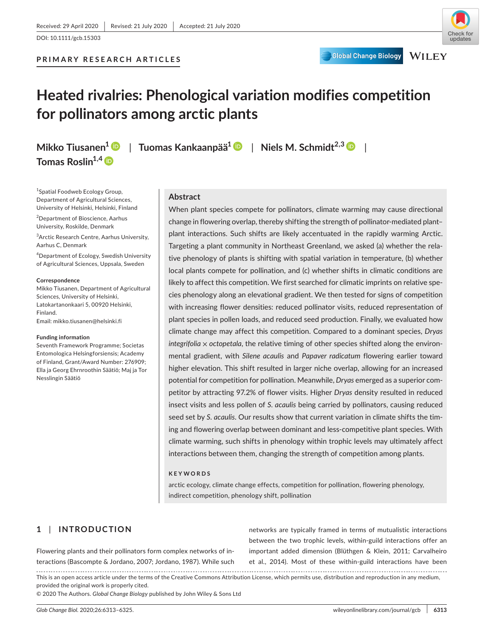**Global Change Biology** 

# **PRIMARY RESEARCH ARTICLES**

# **Heated rivalries: Phenological variation modifies competition for pollinators among arctic plants**

**Tomas** Roslin<sup>1,4</sup> D

**Mikko Tiusanen[1](https://orcid.org/0000-0002-9361-0777)** | **Tuomas Kankaanpää[1](https://orcid.org/0000-0003-3269-0299)** | **Niels M. Schmidt2,[3](https://orcid.org/0000-0002-4166-6218)** |

<sup>1</sup>Spatial Foodweb Ecology Group, Department of Agricultural Sciences, University of Helsinki, Helsinki, Finland

<sup>2</sup>Department of Bioscience, Aarhus University, Roskilde, Denmark

3 Arctic Research Centre, Aarhus University, Aarhus C, Denmark

4 Department of Ecology, Swedish University of Agricultural Sciences, Uppsala, Sweden

#### **Correspondence**

Mikko Tiusanen, Department of Agricultural Sciences, University of Helsinki, Latokartanonkaari 5, 00920 Helsinki, Finland.

Email: [mikko.tiusanen@helsinki.fi](mailto:mikko.tiusanen@helsinki.fi)

#### **Funding information**

Seventh Framework Programme; Societas Entomologica Helsingforsiensis; Academy of Finland, Grant/Award Number: 276909; Ella ja Georg Ehrnroothin Säätiö; Maj ja Tor Nesslingin Säätiö

# **Abstract**

When plant species compete for pollinators, climate warming may cause directional change in flowering overlap, thereby shifting the strength of pollinator-mediated plant– plant interactions. Such shifts are likely accentuated in the rapidly warming Arctic. Targeting a plant community in Northeast Greenland, we asked (a) whether the relative phenology of plants is shifting with spatial variation in temperature, (b) whether local plants compete for pollination, and (c) whether shifts in climatic conditions are likely to affect this competition. We first searched for climatic imprints on relative species phenology along an elevational gradient. We then tested for signs of competition with increasing flower densities: reduced pollinator visits, reduced representation of plant species in pollen loads, and reduced seed production. Finally, we evaluated how climate change may affect this competition. Compared to a dominant species, *Dryas integrifolia*  $\times$  *octopetala*, the relative timing of other species shifted along the environmental gradient, with *Silene acaulis* and *Papaver radicatum* flowering earlier toward higher elevation. This shift resulted in larger niche overlap, allowing for an increased potential for competition for pollination. Meanwhile, *Dryas* emerged as a superior competitor by attracting 97.2% of flower visits. Higher *Dryas* density resulted in reduced insect visits and less pollen of *S. acaulis* being carried by pollinators, causing reduced seed set by *S. acaulis*. Our results show that current variation in climate shifts the timing and flowering overlap between dominant and less-competitive plant species. With climate warming, such shifts in phenology within trophic levels may ultimately affect interactions between them, changing the strength of competition among plants.

#### **KEYWORDS**

arctic ecology, climate change effects, competition for pollination, flowering phenology, indirect competition, phenology shift, pollination

# **1** | **INTRODUCTION**

Flowering plants and their pollinators form complex networks of interactions (Bascompte & Jordano, 2007; Jordano, 1987). While such networks are typically framed in terms of mutualistic interactions between the two trophic levels, within-guild interactions offer an important added dimension (Blüthgen & Klein, 2011; Carvalheiro et al., 2014). Most of these within-guild interactions have been

This is an open access article under the terms of the [Creative Commons Attribution](http://creativecommons.org/licenses/by/4.0/) License, which permits use, distribution and reproduction in any medium, provided the original work is properly cited.

© 2020 The Authors. *Global Change Biology* published by John Wiley & Sons Ltd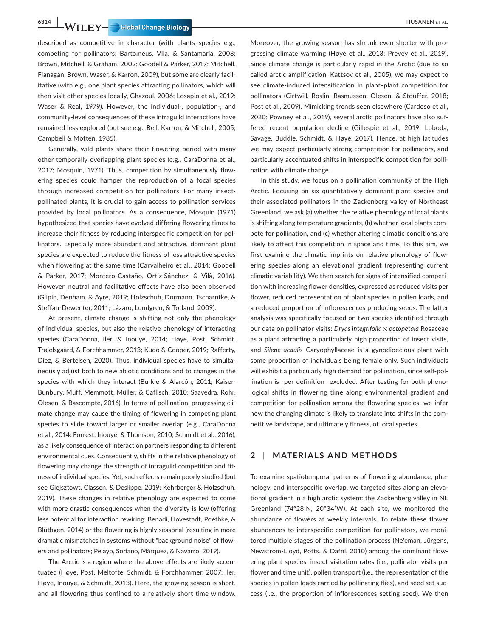**6314 WILEY-Global Change Biology Research Contract Contract Contract Contract Contract Contract Contract Contract Contract Contract Contract Contract Contract Contract Contract Contract Contract Contract Contract Contra** 

described as competitive in character (with plants species e.g., competing for pollinators; Bartomeus, Vilà, & Santamaría, 2008; Brown, Mitchell, & Graham, 2002; Goodell & Parker, 2017; Mitchell, Flanagan, Brown, Waser, & Karron, 2009), but some are clearly facilitative (with e.g., one plant species attracting pollinators, which will then visit other species locally, Ghazoul, 2006; Losapio et al., 2019; Waser & Real, 1979). However, the individual-, population-, and community-level consequences of these intraguild interactions have remained less explored (but see e.g., Bell, Karron, & Mitchell, 2005; Campbell & Motten, 1985).

Generally, wild plants share their flowering period with many other temporally overlapping plant species (e.g., CaraDonna et al., 2017; Mosquin, 1971). Thus, competition by simultaneously flowering species could hamper the reproduction of a focal species through increased competition for pollinators. For many insectpollinated plants, it is crucial to gain access to pollination services provided by local pollinators. As a consequence, Mosquin (1971) hypothesized that species have evolved differing flowering times to increase their fitness by reducing interspecific competition for pollinators. Especially more abundant and attractive, dominant plant species are expected to reduce the fitness of less attractive species when flowering at the same time (Carvalheiro et al., 2014; Goodell & Parker, 2017; Montero-Castaño, Ortiz-Sánchez, & Vilà, 2016). However, neutral and facilitative effects have also been observed (Gilpin, Denham, & Ayre, 2019; Holzschuh, Dormann, Tscharntke, & Steffan-Dewenter, 2011; Lázaro, Lundgren, & Totland, 2009).

At present, climate change is shifting not only the phenology of individual species, but also the relative phenology of interacting species (CaraDonna, Iler, & Inouye, 2014; Høye, Post, Schmidt, Trøjelsgaard, & Forchhammer, 2013; Kudo & Cooper, 2019; Rafferty, Diez, & Bertelsen, 2020). Thus, individual species have to simultaneously adjust both to new abiotic conditions and to changes in the species with which they interact (Burkle & Alarcón, 2011; Kaiser-Bunbury, Muff, Memmott, Müller, & Caflisch, 2010; Saavedra, Rohr, Olesen, & Bascompte, 2016). In terms of pollination, progressing climate change may cause the timing of flowering in competing plant species to slide toward larger or smaller overlap (e.g., CaraDonna et al., 2014; Forrest, Inouye, & Thomson, 2010; Schmidt et al., 2016), as a likely consequence of interaction partners responding to different environmental cues. Consequently, shifts in the relative phenology of flowering may change the strength of intraguild competition and fitness of individual species. Yet, such effects remain poorly studied (but see Giejsztowt, Classen, & Deslippe, 2019; Kehrberger & Holzschuh, 2019). These changes in relative phenology are expected to come with more drastic consequences when the diversity is low (offering less potential for interaction rewiring; Benadi, Hovestadt, Poethke, & Blüthgen, 2014) or the flowering is highly seasonal (resulting in more dramatic mismatches in systems without "background noise" of flowers and pollinators; Pelayo, Soriano, Márquez, & Navarro, 2019).

The Arctic is a region where the above effects are likely accentuated (Høye, Post, Meltofte, Schmidt, & Forchhammer, 2007; Iler, Høye, Inouye, & Schmidt, 2013). Here, the growing season is short, and all flowering thus confined to a relatively short time window.

Moreover, the growing season has shrunk even shorter with progressing climate warming (Høye et al., 2013; Prevéy et al., 2019). Since climate change is particularly rapid in the Arctic (due to so called arctic amplification; Kattsov et al., 2005), we may expect to see climate-induced intensification in plant–plant competition for pollinators (Cirtwill, Roslin, Rasmussen, Olesen, & Stouffer, 2018; Post et al., 2009). Mimicking trends seen elsewhere (Cardoso et al., 2020; Powney et al., 2019), several arctic pollinators have also suffered recent population decline (Gillespie et al., 2019; Loboda, Savage, Buddle, Schmidt, & Høye, 2017). Hence, at high latitudes we may expect particularly strong competition for pollinators, and particularly accentuated shifts in interspecific competition for pollination with climate change.

In this study, we focus on a pollination community of the High Arctic. Focusing on six quantitatively dominant plant species and their associated pollinators in the Zackenberg valley of Northeast Greenland, we ask (a) whether the relative phenology of local plants is shifting along temperature gradients, (b) whether local plants compete for pollination, and (c) whether altering climatic conditions are likely to affect this competition in space and time. To this aim, we first examine the climatic imprints on relative phenology of flowering species along an elevational gradient (representing current climatic variability). We then search for signs of intensified competition with increasing flower densities, expressed as reduced visits per flower, reduced representation of plant species in pollen loads, and a reduced proportion of inflorescences producing seeds. The latter analysis was specifically focused on two species identified through our data on pollinator visits: *Dryas integrifolia* × *octopetala* Rosaceae as a plant attracting a particularly high proportion of insect visits, and *Silene acaulis* Caryophyllaceae is a gynodioecious plant with some proportion of individuals being female only. Such individuals will exhibit a particularly high demand for pollination, since self-pollination is—per definition—excluded. After testing for both phenological shifts in flowering time along environmental gradient and competition for pollination among the flowering species, we infer how the changing climate is likely to translate into shifts in the competitive landscape, and ultimately fitness, of local species.

# **2** | **MATERIALS AND METHODS**

To examine spatiotemporal patterns of flowering abundance, phenology, and interspecific overlap, we targeted sites along an elevational gradient in a high arctic system: the Zackenberg valley in NE Greenland (74°28′N, 20°34′W). At each site, we monitored the abundance of flowers at weekly intervals. To relate these flower abundances to interspecific competition for pollinators, we monitored multiple stages of the pollination process (Ne'eman, Jürgens, Newstrom-Lloyd, Potts, & Dafni, 2010) among the dominant flowering plant species: insect visitation rates (i.e., pollinator visits per flower and time unit), pollen transport (i.e., the representation of the species in pollen loads carried by pollinating flies), and seed set success (i.e., the proportion of inflorescences setting seed). We then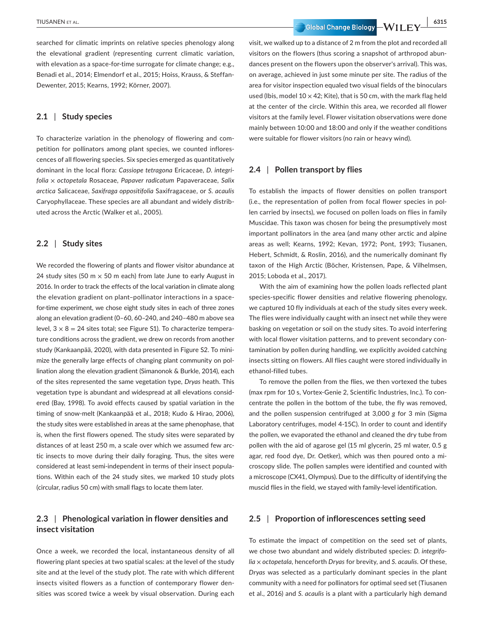**TIUSANEN ET AL.** 6315

searched for climatic imprints on relative species phenology along the elevational gradient (representing current climatic variation, with elevation as a space-for-time surrogate for climate change; e.g., Benadi et al., 2014; Elmendorf et al., 2015; Hoiss, Krauss, & Steffan-Dewenter, 2015; Kearns, 1992; Körner, 2007).

## **2.1** | **Study species**

To characterize variation in the phenology of flowering and competition for pollinators among plant species, we counted inflorescences of all flowering species. Six species emerged as quantitatively dominant in the local flora: *Cassiope tetragona* Ericaceae, *D. integrifolia* × *octopetala* Rosaceae, *Papaver radicatum* Papaveraceae, *Salix arctica* Salicaceae, *Saxifraga oppositifolia* Saxifragaceae, or *S. acaulis* Caryophyllaceae. These species are all abundant and widely distributed across the Arctic (Walker et al., 2005).

# **2.2** | **Study sites**

We recorded the flowering of plants and flower visitor abundance at 24 study sites (50 m  $\times$  50 m each) from late June to early August in 2016. In order to track the effects of the local variation in climate along the elevation gradient on plant–pollinator interactions in a spacefor-time experiment, we chose eight study sites in each of three zones along an elevation gradient (0–60, 60–240, and 240–480 m above sea level,  $3 \times 8 = 24$  sites total; see Figure S1). To characterize temperature conditions across the gradient, we drew on records from another study (Kankaanpää, 2020), with data presented in Figure S2. To minimize the generally large effects of changing plant community on pollination along the elevation gradient (Simanonok & Burkle, 2014), each of the sites represented the same vegetation type, *Dryas* heath. This vegetation type is abundant and widespread at all elevations considered (Bay, 1998). To avoid effects caused by spatial variation in the timing of snow-melt (Kankaanpää et al., 2018; Kudo & Hirao, 2006), the study sites were established in areas at the same phenophase, that is, when the first flowers opened. The study sites were separated by distances of at least 250 m, a scale over which we assumed few arctic insects to move during their daily foraging. Thus, the sites were considered at least semi-independent in terms of their insect populations. Within each of the 24 study sites, we marked 10 study plots (circular, radius 50 cm) with small flags to locate them later.

# **2.3** | **Phenological variation in flower densities and insect visitation**

Once a week, we recorded the local, instantaneous density of all flowering plant species at two spatial scales: at the level of the study site and at the level of the study plot. The rate with which different insects visited flowers as a function of contemporary flower densities was scored twice a week by visual observation. During each

visit, we walked up to a distance of 2 m from the plot and recorded all visitors on the flowers (thus scoring a snapshot of arthropod abundances present on the flowers upon the observer's arrival). This was, on average, achieved in just some minute per site. The radius of the area for visitor inspection equaled two visual fields of the binoculars used (Ibis, model 10  $\times$  42; Kite), that is 50 cm, with the mark flag held at the center of the circle. Within this area, we recorded all flower visitors at the family level. Flower visitation observations were done mainly between 10:00 and 18:00 and only if the weather conditions were suitable for flower visitors (no rain or heavy wind).

#### **2.4** | **Pollen transport by flies**

To establish the impacts of flower densities on pollen transport (i.e., the representation of pollen from focal flower species in pollen carried by insects), we focused on pollen loads on flies in family Muscidae. This taxon was chosen for being the presumptively most important pollinators in the area (and many other arctic and alpine areas as well; Kearns, 1992; Kevan, 1972; Pont, 1993; Tiusanen, Hebert, Schmidt, & Roslin, 2016), and the numerically dominant fly taxon of the High Arctic (Böcher, Kristensen, Pape, & Vilhelmsen, 2015; Loboda et al., 2017).

With the aim of examining how the pollen loads reflected plant species-specific flower densities and relative flowering phenology, we captured 10 fly individuals at each of the study sites every week. The flies were individually caught with an insect net while they were basking on vegetation or soil on the study sites. To avoid interfering with local flower visitation patterns, and to prevent secondary contamination by pollen during handling, we explicitly avoided catching insects sitting on flowers. All flies caught were stored individually in ethanol-filled tubes.

To remove the pollen from the flies, we then vortexed the tubes (max rpm for 10 s, Vortex-Genie 2, Scientific Industries, Inc.). To concentrate the pollen in the bottom of the tube, the fly was removed, and the pollen suspension centrifuged at 3,000 *g* for 3 min (Sigma Laboratory centrifuges, model 4-15C). In order to count and identify the pollen, we evaporated the ethanol and cleaned the dry tube from pollen with the aid of agarose gel (15 ml glycerin, 25 ml water, 0.5 g agar, red food dye, Dr. Oetker), which was then poured onto a microscopy slide. The pollen samples were identified and counted with a microscope (CX41, Olympus). Due to the difficulty of identifying the muscid flies in the field, we stayed with family-level identification.

## **2.5** | **Proportion of inflorescences setting seed**

To estimate the impact of competition on the seed set of plants, we chose two abundant and widely distributed species: *D. integrifolia* × *octopetala*, henceforth *Dryas* for brevity, and *S. acaulis*. Of these, *Dryas* was selected as a particularly dominant species in the plant community with a need for pollinators for optimal seed set (Tiusanen et al., 2016) and *S. acaulis* is a plant with a particularly high demand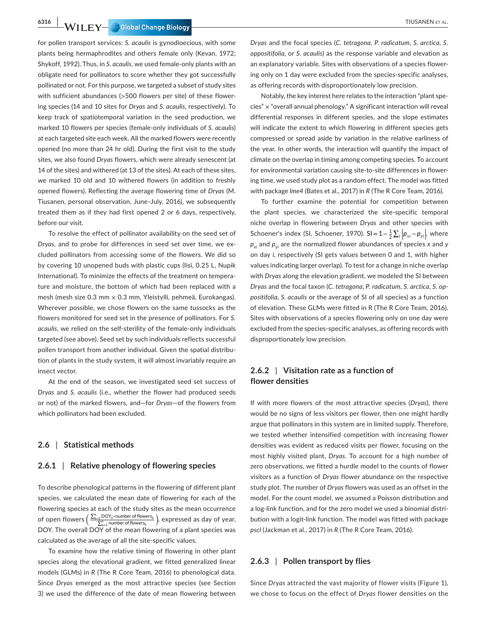**6316 |**  TIUSANEN et al.

for pollen transport services: *S. acaulis* is gynodioecious, with some plants being hermaphrodites and others female only (Kevan, 1972; Shykoff, 1992). Thus, in *S. acaulis*, we used female-only plants with an obligate need for pollinators to score whether they got successfully pollinated or not. For this purpose, we targeted a subset of study sites with sufficient abundances (>500 flowers per site) of these flowering species (14 and 10 sites for *Dryas* and *S. acaulis*, respectively). To keep track of spatiotemporal variation in the seed production, we marked 10 flowers per species (female-only individuals of *S. acaulis*) at each targeted site each week. All the marked flowers were recently opened (no more than 24 hr old). During the first visit to the study sites, we also found *Dryas* flowers, which were already senescent (at 14 of the sites) and withered (at 13 of the sites). At each of these sites, we marked 10 old and 10 withered flowers (in addition to freshly opened flowers). Reflecting the average flowering time of *Dryas* (M. Tiusanen, personal observation, June–July, 2016), we subsequently treated them as if they had first opened 2 or 6 days, respectively, before our visit.

To resolve the effect of pollinator availability on the seed set of *Dryas*, and to probe for differences in seed set over time, we excluded pollinators from accessing some of the flowers. We did so by covering 10 unopened buds with plastic cups (Iisi, 0.25 L, Nupik International). To minimize the effects of the treatment on temperature and moisture, the bottom of which had been replaced with a mesh (mesh size 0.3 mm × 0.3 mm, Yleistylli, pehmeä, Eurokangas). Wherever possible, we chose flowers on the same tussocks as the flowers monitored for seed set in the presence of pollinators. For *S. acaulis*, we relied on the self-sterility of the female-only individuals targeted (see above). Seed set by such individuals reflects successful pollen transport from another individual. Given the spatial distribution of plants in the study system, it will almost invariably require an insect vector.

At the end of the season, we investigated seed set success of *Dryas* and *S. acaulis* (i.e., whether the flower had produced seeds or not) of the marked flowers, and—for *Dryas*—of the flowers from which pollinators had been excluded.

# **2.6** | **Statistical methods**

## **2.6.1** | **Relative phenology of flowering species**

To describe phenological patterns in the flowering of different plant species, we calculated the mean date of flowering for each of the flowering species at each of the study sites as the mean occurrence of open flowers  $\left(\frac{\sum_{k=1}^{n} \text{DOY}_k * \text{number of flowers}_k}{\sum_{k=1}^{n} \text{number of flowers}_k}\right)$ � , expressed as day of year, DOY. The overall DOY of the mean flowering of a plant species was calculated as the average of all the site-specific values.

To examine how the relative timing of flowering in other plant species along the elevational gradient, we fitted generalized linear models (GLMs) in *R* (The R Core Team, 2016) to phenological data. Since *Dryas* emerged as the most attractive species (see Section 3) we used the difference of the date of mean flowering between

*Dryas* and the focal species (*C. tetragona*, *P. radicatum*, *S. arctica*, *S. oppositifolia*, or *S. acaulis*) as the response variable and elevation as an explanatory variable. Sites with observations of a species flowering only on 1 day were excluded from the species-specific analyses, as offering records with disproportionately low precision.

Notably, the key interest here relates to the interaction "plant species" × "overall annual phenology." A significant interaction will reveal differential responses in different species, and the slope estimates will indicate the extent to which flowering in different species gets compressed or spread aside by variation in the relative earliness of the year. In other words, the interaction will quantify the impact of climate on the overlap in timing among competing species. To account for environmental variation causing site-to-site differences in flowering time, we used study plot as a random effect. The model was fitted with package *lme4* (Bates et al., 2017) in *R* (The R Core Team, 2016).

To further examine the potential for competition between the plant species, we characterized the site-specific temporal niche overlap in flowering between *Dryas* and other species with Schoener's index (SI, Schoener, 1970). SI=1− $\frac{1}{2} \sum_i |p_{xi} - p_{yi}|$ , where  $p_{xi}$  and  $p_{yi}$  are the normalized flower abundances of species  $x$  and  $y$ on day *i*, respectively (SI gets values between 0 and 1, with higher values indicating larger overlap). To test for a change in niche overlap with *Dryas* along the elevation gradient, we modeled the SI between *Dryas* and the focal taxon (*C. tetragona*, *P. radicatum*, *S. arctica*, *S. oppositifolia*, *S. acaulis* or the average of SI of all species) as a function of elevation. These GLMs were fitted in R (The R Core Team, 2016). Sites with observations of a species flowering only on one day were excluded from the species-specific analyses, as offering records with disproportionately low precision.

# **2.6.2** | **Visitation rate as a function of flower densities**

If with more flowers of the most attractive species (*Dryas*), there would be no signs of less visitors per flower, then one might hardly argue that pollinators in this system are in limited supply. Therefore, we tested whether intensified competition with increasing flower densities was evident as reduced visits per flower, focusing on the most highly visited plant, *Dryas*. To account for a high number of zero observations, we fitted a hurdle model to the counts of flower visitors as a function of *Dryas* flower abundance on the respective study plot. The number of *Dryas* flowers was used as an offset in the model. For the count model, we assumed a Poisson distribution and a log-link function, and for the zero model we used a binomial distribution with a logit-link function. The model was fitted with package *pscl* (Jackman et al., 2017) in *R* (The R Core Team, 2016).

# **2.6.3** | **Pollen transport by flies**

Since *Dryas* attracted the vast majority of flower visits (Figure 1), we chose to focus on the effect of *Dryas* flower densities on the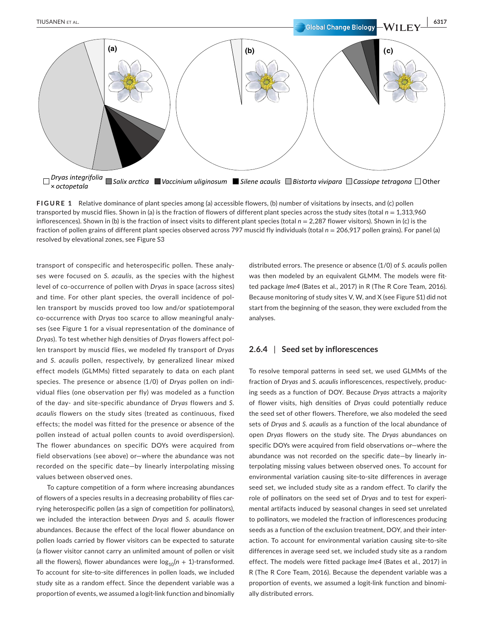

**FIGURE 1** Relative dominance of plant species among (a) accessible flowers, (b) number of visitations by insects, and (c) pollen transported by muscid flies. Shown in (a) is the fraction of flowers of different plant species across the study sites (total *n* = 1,313,960 inflorescences). Shown in (b) is the fraction of insect visits to different plant species (total *n* = 2,287 flower visitors). Shown in (c) is the fraction of pollen grains of different plant species observed across 797 muscid fly individuals (total  $n = 206,917$  pollen grains). For panel (a) resolved by elevational zones, see Figure S3

transport of conspecific and heterospecific pollen. These analyses were focused on *S. acaulis*, as the species with the highest level of co-occurrence of pollen with *Dryas* in space (across sites) and time. For other plant species, the overall incidence of pollen transport by muscids proved too low and/or spatiotemporal co-occurrence with *Dryas* too scarce to allow meaningful analyses (see Figure 1 for a visual representation of the dominance of *Dryas*). To test whether high densities of *Dryas* flowers affect pollen transport by muscid flies, we modeled fly transport of *Dryas* and *S. acaulis* pollen, respectively, by generalized linear mixed effect models (GLMMs) fitted separately to data on each plant species. The presence or absence (1/0) of *Dryas* pollen on individual flies (one observation per fly) was modeled as a function of the day- and site-specific abundance of *Dryas* flowers and *S. acaulis* flowers on the study sites (treated as continuous, fixed effects; the model was fitted for the presence or absence of the pollen instead of actual pollen counts to avoid overdispersion). The flower abundances on specific DOYs were acquired from field observations (see above) or—where the abundance was not recorded on the specific date—by linearly interpolating missing values between observed ones.

To capture competition of a form where increasing abundances of flowers of a species results in a decreasing probability of flies carrying heterospecific pollen (as a sign of competition for pollinators), we included the interaction between *Dryas* and *S. acaulis* flower abundances. Because the effect of the local flower abundance on pollen loads carried by flower visitors can be expected to saturate (a flower visitor cannot carry an unlimited amount of pollen or visit all the flowers), flower abundances were  $log_{10}(n + 1)$ -transformed. To account for site-to-site differences in pollen loads, we included study site as a random effect. Since the dependent variable was a proportion of events, we assumed a logit-link function and binomially

distributed errors. The presence or absence (1/0) of *S. acaulis* pollen was then modeled by an equivalent GLMM. The models were fitted package *lme4* (Bates et al., 2017) in R (The R Core Team, 2016). Because monitoring of study sites V, W, and X (see Figure S1) did not start from the beginning of the season, they were excluded from the analyses.

# **2.6.4** | **Seed set by inflorescences**

To resolve temporal patterns in seed set, we used GLMMs of the fraction of *Dryas* and *S. acaulis* inflorescences, respectively, producing seeds as a function of DOY. Because *Dryas* attracts a majority of flower visits, high densities of *Dryas* could potentially reduce the seed set of other flowers. Therefore, we also modeled the seed sets of *Dryas* and *S. acaulis* as a function of the local abundance of open *Dryas* flowers on the study site. The *Dryas* abundances on specific DOYs were acquired from field observations or—where the abundance was not recorded on the specific date—by linearly interpolating missing values between observed ones. To account for environmental variation causing site-to-site differences in average seed set, we included study site as a random effect. To clarify the role of pollinators on the seed set of *Dryas* and to test for experimental artifacts induced by seasonal changes in seed set unrelated to pollinators, we modeled the fraction of inflorescences producing seeds as a function of the exclusion treatment, DOY, and their interaction. To account for environmental variation causing site-to-site differences in average seed set, we included study site as a random effect. The models were fitted package *lme4* (Bates et al., 2017) in R (The R Core Team, 2016). Because the dependent variable was a proportion of events, we assumed a logit-link function and binomially distributed errors.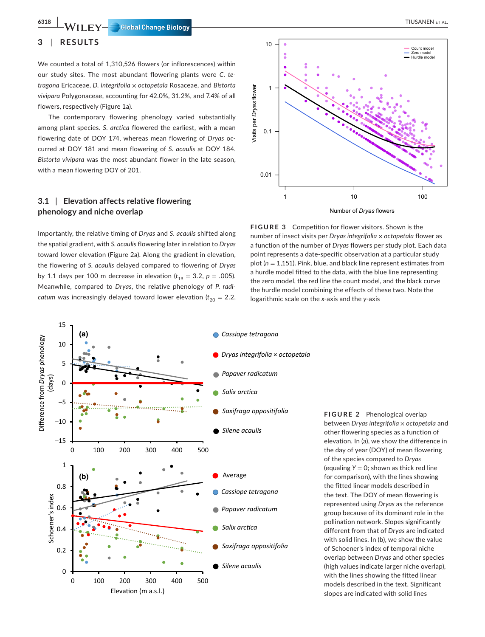**6318 |**  TIUSANEN et al.

# **3** | **RESULTS**

We counted a total of 1,310,526 flowers (or inflorescences) within our study sites. The most abundant flowering plants were *C. tetragona* Ericaceae, *D. integrifolia* × *octopetala* Rosaceae, and *Bistorta vivipara* Polygonaceae, accounting for 42.0%, 31.2%, and 7.4% of all flowers, respectively (Figure 1a).

The contemporary flowering phenology varied substantially among plant species. *S. arctica* flowered the earliest, with a mean flowering date of DOY 174, whereas mean flowering of *Dryas* occurred at DOY 181 and mean flowering of *S. acaulis* at DOY 184. *Bistorta vivipara* was the most abundant flower in the late season, with a mean flowering DOY of 201.

# **3.1** | **Elevation affects relative flowering phenology and niche overlap**

Importantly, the relative timing of *Dryas* and *S. acaulis* shifted along the spatial gradient, with *S. acaulis* flowering later in relation to *Dryas* toward lower elevation (Figure 2a). Along the gradient in elevation, the flowering of *S. acaulis* delayed compared to flowering of *Dryas* by 1.1 days per 100 m decrease in elevation ( $t_{19} = 3.2$ ,  $p = .005$ ). Meanwhile, compared to *Dryas*, the relative phenology of *P. radicatum* was increasingly delayed toward lower elevation ( $t_{20} = 2.2$ ,



**FIGURE 3** Competition for flower visitors. Shown is the number of insect visits per *Dryas integrifolia* × *octopetala* flower as a function of the number of *Dryas* flowers per study plot. Each data point represents a date-specific observation at a particular study plot (*n* = 1,151). Pink, blue, and black line represent estimates from a hurdle model fitted to the data, with the blue line representing the zero model, the red line the count model, and the black curve the hurdle model combining the effects of these two. Note the logarithmic scale on the *x*-axis and the *y*-axis



**FIGURE 2** Phenological overlap between *Dryas integrifolia* × *octopetala* and other flowering species as a function of elevation. In (a), we show the difference in the day of year (DOY) of mean flowering of the species compared to *Dryas* (equaling *Y* = 0; shown as thick red line for comparison), with the lines showing the fitted linear models described in the text. The DOY of mean flowering is represented using *Dryas* as the reference group because of its dominant role in the pollination network. Slopes significantly different from that of *Dryas* are indicated with solid lines. In (b), we show the value of Schoener's index of temporal niche overlap between *Dryas* and other species (high values indicate larger niche overlap), with the lines showing the fitted linear models described in the text. Significant slopes are indicated with solid lines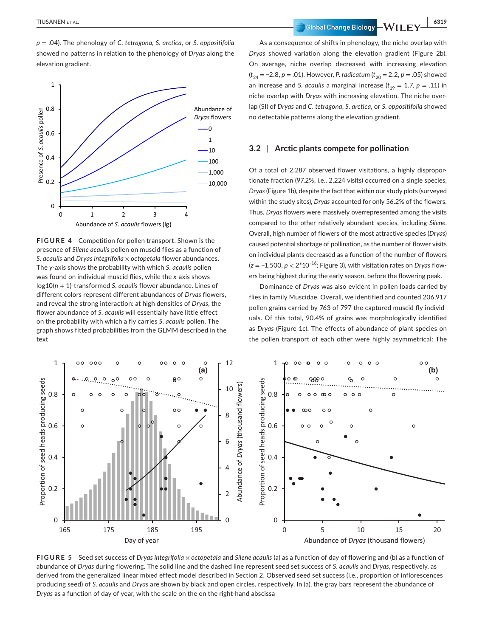*p* = .04). The phenology of *C. tetragona*, *S. arctica*, or *S. oppositifolia* showed no patterns in relation to the phenology of *Dryas* along the elevation gradient.



**FIGURE 4** Competition for pollen transport. Shown is the presence of *Silene acaulis* pollen on muscid flies as a function of *S. acaulis* and *Dryas integrifolia* × *octopetala* flower abundances. The *y*-axis shows the probability with which *S. acaulis* pollen was found on individual muscid flies, while the *x*-axis shows log10(*n* + 1)-transformed *S. acaulis* flower abundance. Lines of different colors represent different abundances of *Dryas* flowers, and reveal the strong interaction: at high densities of *Dryas*, the flower abundance of *S. acaulis* will essentially have little effect on the probability with which a fly carries *S. acaulis* pollen. The graph shows fitted probabilities from the GLMM described in the text

 **TIUSANEN ET AL.** 6319

As a consequence of shifts in phenology, the niche overlap with *Dryas* showed variation along the elevation gradient (Figure 2b). On average, niche overlap decreased with increasing elevation (*t*<sub>24</sub> = −2.8, *p* = .01). However, *P. radicatum* (*t*<sub>20</sub> = 2.2, *p* = .05) showed an increase and *S. acaulis* a marginal increase  $(t_{19} = 1.7, p = .11)$  in niche overlap with *Dryas* with increasing elevation. The niche overlap (SI) of *Dryas* and *C. tetragona*, *S. arctica*, or *S. oppositifolia* showed no detectable patterns along the elevation gradient.

## **3.2** | **Arctic plants compete for pollination**

Of a total of 2,287 observed flower visitations, a highly disproportionate fraction (97.2%, i.e., 2,224 visits) occurred on a single species, *Dryas* (Figure 1b), despite the fact that within our study plots (surveyed within the study sites), *Dryas* accounted for only 56.2% of the flowers. Thus, *Dryas* flowers were massively overrepresented among the visits compared to the other relatively abundant species, including *Silene*. Overall, high number of flowers of the most attractive species (*Dryas*) caused potential shortage of pollination, as the number of flower visits on individual plants decreased as a function of the number of flowers (*z* = −1,500, *p* < 2\*10–16; Figure 3), with visitation rates on *Dryas* flowers being highest during the early season, before the flowering peak.

Dominance of *Dryas* was also evident in pollen loads carried by flies in family Muscidae. Overall, we identified and counted 206,917 pollen grains carried by 763 of 797 the captured muscid fly individuals. Of this total, 90.4% of grains was morphologically identified as *Dryas* (Figure 1c). The effects of abundance of plant species on the pollen transport of each other were highly asymmetrical: The



**FIGURE 5** Seed set success of *Dryas integrifolia* × *octopetala* and *Silene acaulis* (a) as a function of day of flowering and (b) as a function of abundance of *Dryas* during flowering. The solid line and the dashed line represent seed set success of *S. acaulis* and *Dryas*, respectively, as derived from the generalized linear mixed effect model described in Section 2. Observed seed set success (i.e., proportion of inflorescences producing seed) of *S. acaulis* and *Dryas* are shown by black and open circles, respectively. In (a), the gray bars represent the abundance of *Dryas* as a function of day of year, with the scale on the on the right-hand abscissa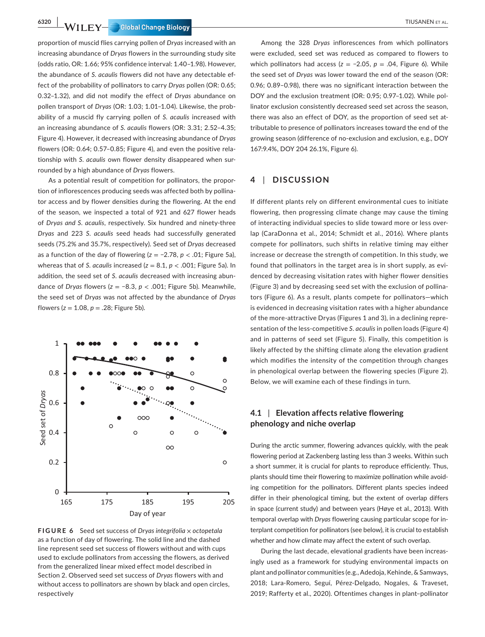**6320 NILEY Global Change Biology Account of the Contract of TIUSANEN ET AL.** 

proportion of muscid flies carrying pollen of *Dryas* increased with an increasing abundance of *Dryas* flowers in the surrounding study site (odds ratio, OR: 1.66; 95% confidence interval: 1.40–1.98). However, the abundance of *S. acaulis* flowers did not have any detectable effect of the probability of pollinators to carry *Dryas* pollen (OR: 0.65; 0.32–1.32), and did not modify the effect of *Dryas* abundance on pollen transport of *Dryas* (OR: 1.03; 1.01–1.04). Likewise, the probability of a muscid fly carrying pollen of *S. acaulis* increased with an increasing abundance of *S. acaulis* flowers (OR: 3.31; 2.52–4.35; Figure 4). However, it decreased with increasing abundance of *Dryas* flowers (OR: 0.64; 0.57–0.85; Figure 4), and even the positive relationship with *S. acaulis* own flower density disappeared when surrounded by a high abundance of *Dryas* flowers.

As a potential result of competition for pollinators, the proportion of inflorescences producing seeds was affected both by pollinator access and by flower densities during the flowering. At the end of the season, we inspected a total of 921 and 627 flower heads of *Dryas and S. acaulis*, respectively. Six hundred and ninety-three *Dryas* and 223 *S. acaulis* seed heads had successfully generated seeds (75.2% and 35.7%, respectively). Seed set of *Dryas* decreased as a function of the day of flowering (*z* = −2.78, *p* < .01; Figure 5a), whereas that of *S. acaulis* increased (*z* = 8.1, *p* < .001; Figure 5a). In addition, the seed set of *S. acaulis* decreased with increasing abundance of *Dryas* flowers (*z* = −8.3, *p* < .001; Figure 5b). Meanwhile, the seed set of *Dryas* was not affected by the abundance of *Dryas* flowers ( $z = 1.08$ ,  $p = .28$ ; Figure 5b).



**FIGURE 6** Seed set success of *Dryas integrifolia* × *octopetala* as a function of day of flowering. The solid line and the dashed line represent seed set success of flowers without and with cups used to exclude pollinators from accessing the flowers, as derived from the generalized linear mixed effect model described in Section 2. Observed seed set success of *Dryas* flowers with and without access to pollinators are shown by black and open circles, respectively

Among the 328 *Dryas* inflorescences from which pollinators were excluded, seed set was reduced as compared to flowers to which pollinators had access (*z* = −2.05, *p* = .04, Figure 6). While the seed set of *Dryas* was lower toward the end of the season (OR: 0.96; 0.89–0.98), there was no significant interaction between the DOY and the exclusion treatment (OR: 0.95; 0.97–1.02). While pollinator exclusion consistently decreased seed set across the season, there was also an effect of DOY, as the proportion of seed set attributable to presence of pollinators increases toward the end of the growing season (difference of no-exclusion and exclusion, e.g., DOY 167:9.4%, DOY 204 26.1%, Figure 6).

# **4** | **DISCUSSION**

If different plants rely on different environmental cues to initiate flowering, then progressing climate change may cause the timing of interacting individual species to slide toward more or less overlap (CaraDonna et al., 2014; Schmidt et al., 2016). Where plants compete for pollinators, such shifts in relative timing may either increase or decrease the strength of competition. In this study, we found that pollinators in the target area is in short supply, as evidenced by decreasing visitation rates with higher flower densities (Figure 3) and by decreasing seed set with the exclusion of pollinators (Figure 6). As a result, plants compete for pollinators—which is evidenced in decreasing visitation rates with a higher abundance of the more-attractive Dryas (Figures 1 and 3), in a declining representation of the less-competitive *S. acaulis* in pollen loads (Figure 4) and in patterns of seed set (Figure 5). Finally, this competition is likely affected by the shifting climate along the elevation gradient which modifies the intensity of the competition through changes in phenological overlap between the flowering species (Figure 2). Below, we will examine each of these findings in turn.

# **4.1** | **Elevation affects relative flowering phenology and niche overlap**

During the arctic summer, flowering advances quickly, with the peak flowering period at Zackenberg lasting less than 3 weeks. Within such a short summer, it is crucial for plants to reproduce efficiently. Thus, plants should time their flowering to maximize pollination while avoiding competition for the pollinators. Different plants species indeed differ in their phenological timing, but the extent of overlap differs in space (current study) and between years (Høye et al., 2013). With temporal overlap with *Dryas* flowering causing particular scope for interplant competition for pollinators (see below), it is crucial to establish whether and how climate may affect the extent of such overlap.

During the last decade, elevational gradients have been increasingly used as a framework for studying environmental impacts on plant and pollinator communities (e.g., Adedoja, Kehinde, & Samways, 2018; Lara-Romero, Seguí, Pérez-Delgado, Nogales, & Traveset, 2019; Rafferty et al., 2020). Oftentimes changes in plant–pollinator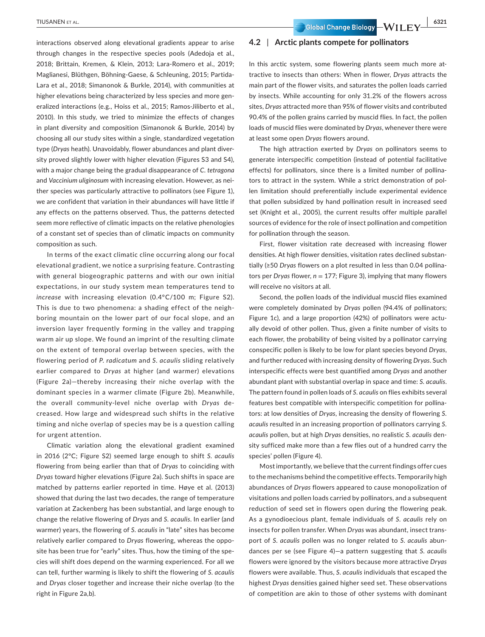interactions observed along elevational gradients appear to arise through changes in the respective species pools (Adedoja et al., 2018; Brittain, Kremen, & Klein, 2013; Lara-Romero et al., 2019; Maglianesi, Blüthgen, Böhning-Gaese, & Schleuning, 2015; Partida-Lara et al., 2018; Simanonok & Burkle, 2014), with communities at higher elevations being characterized by less species and more generalized interactions (e.g., Hoiss et al., 2015; Ramos-Jiliberto et al., 2010). In this study, we tried to minimize the effects of changes in plant diversity and composition (Simanonok & Burkle, 2014) by choosing all our study sites within a single, standardized vegetation type (*Dryas* heath). Unavoidably, flower abundances and plant diversity proved slightly lower with higher elevation (Figures S3 and S4), with a major change being the gradual disappearance of *C. tetragona* and *Vaccinium uliginosum* with increasing elevation. However, as neither species was particularly attractive to pollinators (see Figure 1), we are confident that variation in their abundances will have little if any effects on the patterns observed. Thus, the patterns detected seem more reflective of climatic impacts on the relative phenologies of a constant set of species than of climatic impacts on community composition as such.

In terms of the exact climatic cline occurring along our focal elevational gradient, we notice a surprising feature. Contrasting with general biogeographic patterns and with our own initial expectations, in our study system mean temperatures tend to *increase* with increasing elevation (0.4°C/100 m; Figure S2). This is due to two phenomena: a shading effect of the neighboring mountain on the lower part of our focal slope, and an inversion layer frequently forming in the valley and trapping warm air up slope. We found an imprint of the resulting climate on the extent of temporal overlap between species, with the flowering period of *P. radicatum* and *S. acaulis* sliding relatively earlier compared to *Dryas* at higher (and warmer) elevations (Figure 2a)—thereby increasing their niche overlap with the dominant species in a warmer climate (Figure 2b). Meanwhile, the overall community-level niche overlap with *Dryas* decreased. How large and widespread such shifts in the relative timing and niche overlap of species may be is a question calling for urgent attention.

Climatic variation along the elevational gradient examined in 2016 (2°C; Figure S2) seemed large enough to shift *S. acaulis* flowering from being earlier than that of *Dryas* to coinciding with *Dryas* toward higher elevations (Figure 2a). Such shifts in space are matched by patterns earlier reported in time. Høye et al. (2013) showed that during the last two decades, the range of temperature variation at Zackenberg has been substantial, and large enough to change the relative flowering of *Dryas* and *S. acaulis*. In earlier (and warmer) years, the flowering of *S. acaulis* in "late" sites has become relatively earlier compared to *Dryas* flowering, whereas the opposite has been true for "early" sites. Thus, how the timing of the species will shift does depend on the warming experienced. For all we can tell, further warming is likely to shift the flowering of *S. acaulis* and *Dryas* closer together and increase their niche overlap (to the right in Figure 2a,b).

#### **4.2** | **Arctic plants compete for pollinators**

In this arctic system, some flowering plants seem much more attractive to insects than others: When in flower, *Dryas* attracts the main part of the flower visits, and saturates the pollen loads carried by insects. While accounting for only 31.2% of the flowers across sites, *Dryas* attracted more than 95% of flower visits and contributed 90.4% of the pollen grains carried by muscid flies. In fact, the pollen loads of muscid flies were dominated by *Dryas*, whenever there were at least some open *Dryas* flowers around.

The high attraction exerted by *Dryas* on pollinators seems to generate interspecific competition (instead of potential facilitative effects) for pollinators, since there is a limited number of pollinators to attract in the system. While a strict demonstration of pollen limitation should preferentially include experimental evidence that pollen subsidized by hand pollination result in increased seed set (Knight et al., 2005), the current results offer multiple parallel sources of evidence for the role of insect pollination and competition for pollination through the season.

First, flower visitation rate decreased with increasing flower densities. At high flower densities, visitation rates declined substantially (≥50 *Dryas* flowers on a plot resulted in less than 0.04 pollinators per *Dryas* flower, *n* = 177; Figure 3), implying that many flowers will receive no visitors at all.

Second, the pollen loads of the individual muscid flies examined were completely dominated by *Dryas* pollen (94.4% of pollinators; Figure 1c), and a large proportion (42%) of pollinators were actually devoid of other pollen. Thus, given a finite number of visits to each flower, the probability of being visited by a pollinator carrying conspecific pollen is likely to be low for plant species beyond *Dryas*, and further reduced with increasing density of flowering *Dryas*. Such interspecific effects were best quantified among *Dryas* and another abundant plant with substantial overlap in space and time: *S. acaulis*. The pattern found in pollen loads of *S. acaulis* on flies exhibits several features best compatible with interspecific competition for pollinators: at low densities of *Dryas*, increasing the density of flowering *S. acaulis* resulted in an increasing proportion of pollinators carrying *S. acaulis* pollen, but at high *Dryas* densities, no realistic *S. acaulis* density sufficed make more than a few flies out of a hundred carry the species' pollen (Figure 4).

Most importantly, we believe that the current findings offer cues to the mechanisms behind the competitive effects. Temporarily high abundances of *Dryas* flowers appeared to cause monopolization of visitations and pollen loads carried by pollinators, and a subsequent reduction of seed set in flowers open during the flowering peak. As a gynodioecious plant, female individuals of *S. acaulis* rely on insects for pollen transfer. When *Dryas* was abundant, insect transport of *S. acaulis* pollen was no longer related to *S. acaulis* abundances per se (see Figure 4)—a pattern suggesting that *S. acaulis* flowers were ignored by the visitors because more attractive *Dryas* flowers were available. Thus, *S. acaulis* individuals that escaped the highest *Dryas* densities gained higher seed set. These observations of competition are akin to those of other systems with dominant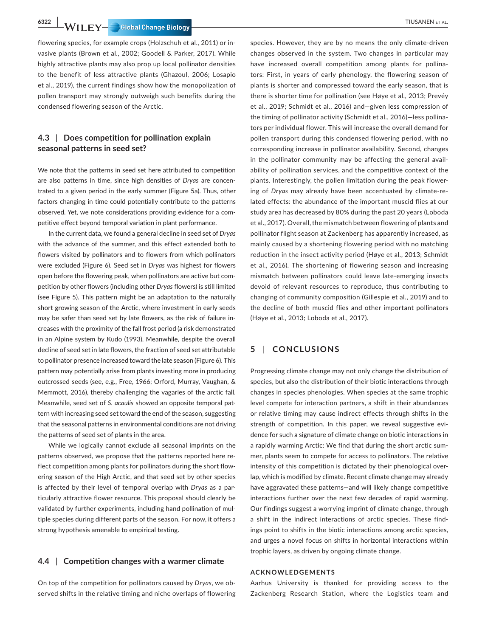**6322 WILEY-Global Change Biology Research Control of the Control of TIUSANEN ET AL.** 

flowering species, for example crops (Holzschuh et al., 2011) or invasive plants (Brown et al., 2002; Goodell & Parker, 2017). While highly attractive plants may also prop up local pollinator densities to the benefit of less attractive plants (Ghazoul, 2006; Losapio et al., 2019), the current findings show how the monopolization of pollen transport may strongly outweigh such benefits during the condensed flowering season of the Arctic.

# **4.3** | **Does competition for pollination explain seasonal patterns in seed set?**

We note that the patterns in seed set here attributed to competition are also patterns in time, since high densities of *Dryas* are concentrated to a given period in the early summer (Figure 5a). Thus, other factors changing in time could potentially contribute to the patterns observed. Yet, we note considerations providing evidence for a competitive effect beyond temporal variation in plant performance.

In the current data, we found a general decline in seed set of *Dryas* with the advance of the summer, and this effect extended both to flowers visited by pollinators and to flowers from which pollinators were excluded (Figure 6). Seed set in *Dryas* was highest for flowers open before the flowering peak, when pollinators are active but competition by other flowers (including other *Dryas* flowers) is still limited (see Figure 5). This pattern might be an adaptation to the naturally short growing season of the Arctic, where investment in early seeds may be safer than seed set by late flowers, as the risk of failure increases with the proximity of the fall frost period (a risk demonstrated in an Alpine system by Kudo (1993). Meanwhile, despite the overall decline of seed set in late flowers, the fraction of seed set attributable to pollinator presence increased toward the late season (Figure 6). This pattern may potentially arise from plants investing more in producing outcrossed seeds (see, e.g., Free, 1966; Orford, Murray, Vaughan, & Memmott, 2016), thereby challenging the vagaries of the arctic fall. Meanwhile, seed set of *S. acaulis* showed an opposite temporal pattern with increasing seed set toward the end of the season, suggesting that the seasonal patterns in environmental conditions are not driving the patterns of seed set of plants in the area.

While we logically cannot exclude all seasonal imprints on the patterns observed, we propose that the patterns reported here reflect competition among plants for pollinators during the short flowering season of the High Arctic, and that seed set by other species is affected by their level of temporal overlap with *Dryas* as a particularly attractive flower resource. This proposal should clearly be validated by further experiments, including hand pollination of multiple species during different parts of the season. For now, it offers a strong hypothesis amenable to empirical testing.

# **4.4** | **Competition changes with a warmer climate**

On top of the competition for pollinators caused by *Dryas*, we observed shifts in the relative timing and niche overlaps of flowering

species. However, they are by no means the only climate-driven changes observed in the system. Two changes in particular may have increased overall competition among plants for pollinators: First, in years of early phenology, the flowering season of plants is shorter and compressed toward the early season, that is there is shorter time for pollination (see Høye et al., 2013; Prevéy et al., 2019; Schmidt et al., 2016) and—given less compression of the timing of pollinator activity (Schmidt et al., 2016)—less pollinators per individual flower. This will increase the overall demand for pollen transport during this condensed flowering period, with no corresponding increase in pollinator availability. Second, changes in the pollinator community may be affecting the general availability of pollination services, and the competitive context of the plants. Interestingly, the pollen limitation during the peak flowering of *Dryas* may already have been accentuated by climate-related effects: the abundance of the important muscid flies at our study area has decreased by 80% during the past 20 years (Loboda et al., 2017). Overall, the mismatch between flowering of plants and pollinator flight season at Zackenberg has apparently increased, as mainly caused by a shortening flowering period with no matching reduction in the insect activity period (Høye et al., 2013; Schmidt et al., 2016). The shortening of flowering season and increasing mismatch between pollinators could leave late-emerging insects devoid of relevant resources to reproduce, thus contributing to changing of community composition (Gillespie et al., 2019) and to the decline of both muscid flies and other important pollinators (Høye et al., 2013; Loboda et al., 2017).

# **5** | **CONCLUSIONS**

Progressing climate change may not only change the distribution of species, but also the distribution of their biotic interactions through changes in species phenologies. When species at the same trophic level compete for interaction partners, a shift in their abundances or relative timing may cause indirect effects through shifts in the strength of competition. In this paper, we reveal suggestive evidence for such a signature of climate change on biotic interactions in a rapidly warming Arctic: We find that during the short arctic summer, plants seem to compete for access to pollinators. The relative intensity of this competition is dictated by their phenological overlap, which is modified by climate. Recent climate change may already have aggravated these patterns—and will likely change competitive interactions further over the next few decades of rapid warming. Our findings suggest a worrying imprint of climate change, through a shift in the indirect interactions of arctic species. These findings point to shifts in the biotic interactions among arctic species, and urges a novel focus on shifts in horizontal interactions within trophic layers, as driven by ongoing climate change.

#### **ACKNOWLEDGEMENTS**

Aarhus University is thanked for providing access to the Zackenberg Research Station, where the Logistics team and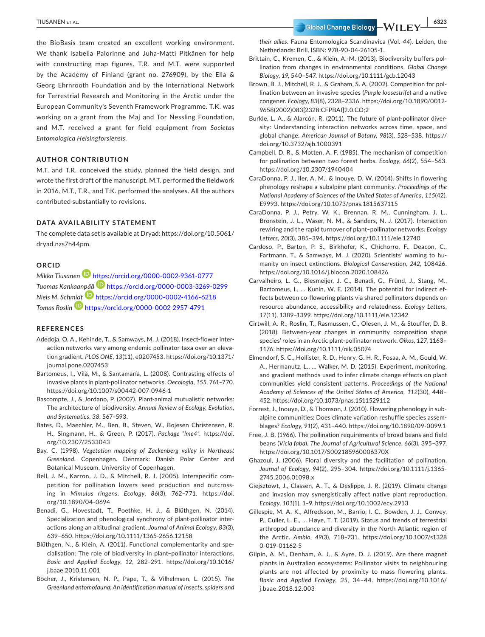the BioBasis team created an excellent working environment. We thank Isabella Palorinne and Juha-Matti Pitkänen for help with constructing map figures. T.R. and M.T. were supported by the Academy of Finland (grant no. 276909), by the Ella & Georg Ehrnrooth Foundation and by the International Network for Terrestrial Research and Monitoring in the Arctic under the European Community's Seventh Framework Programme. T.K. was working on a grant from the Maj and Tor Nessling Foundation, and M.T. received a grant for field equipment from *Societas Entomologica Helsingforsiensis*.

## **AUTHOR CONTRIBUTION**

M.T. and T.R. conceived the study, planned the field design, and wrote the first draft of the manuscript. M.T. performed the fieldwork in 2016. M.T., T.R., and T.K. performed the analyses. All the authors contributed substantially to revisions.

#### **DATA AVAILABILITY STATEMENT**

The complete data set is available at Dryad: [https://doi.org/10.5061/](https://doi.org/10.5061/dryad.nzs7h44pm) [dryad.nzs7h44pm.](https://doi.org/10.5061/dryad.nzs7h44pm)

# **ORCID**

*Mikko Tiusane[n](https://orcid.org/0000-0002-9361-0777)* <https://orcid.org/0000-0002-9361-0777> *Tuomas Kankaa[npää](https://orcid.org/0000-0002-4166-6218)* <https://orcid.org/0000-0003-3269-0299> *Niels M. Sch[midt](https://orcid.org/0000-0002-2957-4791)* <https://orcid.org/0000-0002-4166-6218> *Tomas Roslin* <https://orcid.org/0000-0002-2957-4791>

#### **REFERENCES**

Adedoja, O. A., Kehinde, T., & Samways, M. J. (2018). Insect-flower interaction networks vary among endemic pollinator taxa over an elevation gradient. *PLOS ONE*, *13*(11), e0207453. [https://doi.org/10.1371/](https://doi.org/10.1371/journal.pone.0207453) [journal.pone.0207453](https://doi.org/10.1371/journal.pone.0207453)

- Bartomeus, I., Vilà, M., & Santamaría, L. (2008). Contrasting effects of invasive plants in plant-pollinator networks. *Oecologia*, *155*, 761–770. <https://doi.org/10.1007/s00442-007-0946-1>
- Bascompte, J., & Jordano, P. (2007). Plant-animal mutualistic networks: The architecture of biodiversity. *Annual Review of Ecology, Evolution, and Systematics*, *38*, 567–593.
- Bates, D., Maechler, M., Ben, B., Steven, W., Bojesen Christensen, R. H., Singmann, H., & Green, P. (2017). *Package "lme4"*. [https://doi.](https://doi.org/10.2307/2533043) [org/10.2307/2533043](https://doi.org/10.2307/2533043)
- Bay, C. (1998). *Vegetation mapping of Zackenberg valley in Northeast Greenland*. Copenhagen. Denmark: Danish Polar Center and Botanical Museum, University of Copenhagen.
- Bell, J. M., Karron, J. D., & Mitchell, R. J. (2005). Interspecific competition for pollination lowers seed production and outcrossing in *Mimulus ringens*. *Ecology*, *86*(3), 762–771. [https://doi.](https://doi.org/10.1890/04-0694) [org/10.1890/04-0694](https://doi.org/10.1890/04-0694)
- Benadi, G., Hovestadt, T., Poethke, H. J., & Blüthgen, N. (2014). Specialization and phenological synchrony of plant-pollinator interactions along an altitudinal gradient. *Journal of Animal Ecology*, *83*(3), 639–650.<https://doi.org/10.1111/1365-2656.12158>
- Blüthgen, N., & Klein, A. (2011). Functional complementarity and specialisation: The role of biodiversity in plant–pollinator interactions. *Basic and Applied Ecology*, *12*, 282–291. [https://doi.org/10.1016/](https://doi.org/10.1016/j.baae.2010.11.001) [j.baae.2010.11.001](https://doi.org/10.1016/j.baae.2010.11.001)
- Böcher, J., Kristensen, N. P., Pape, T., & Vilhelmsen, L. (2015). *The Greenland entomofauna: An identification manual of insects, spiders and*

*their allies*. Fauna Entomologica Scandinavica (Vol. *44*). Leiden, the Netherlands: Brill. ISBN: 978-90-04-26105-1.

- Brittain, C., Kremen, C., & Klein, A.-M. (2013). Biodiversity buffers pollination from changes in environmental conditions. *Global Change Biology*, *19*, 540–547.<https://doi.org/10.1111/gcb.12043>
- Brown, B. J., Mitchell, R. J., & Graham, S. A. (2002). Competition for pollination between an invasive species (*Purple loosestrife*) and a native congener. *Ecology*, *83*(8), 2328–2336. [https://doi.org/10.1890/0012-](https://doi.org/10.1890/0012-9658(2002)083%5B2328:CFPBAI%5D2.0.CO;2) [9658\(2002\)083\[2328:CFPBAI\]2.0.CO;2](https://doi.org/10.1890/0012-9658(2002)083%5B2328:CFPBAI%5D2.0.CO;2)
- Burkle, L. A., & Alarcón, R. (2011). The future of plant-pollinator diversity: Understanding interaction networks across time, space, and global change. *American Journal of Botany*, *98*(3), 528–538. [https://](https://doi.org/10.3732/ajb.1000391) [doi.org/10.3732/ajb.1000391](https://doi.org/10.3732/ajb.1000391)
- Campbell, D. R., & Motten, A. F. (1985). The mechanism of competition for pollination between two forest herbs. *Ecology*, *66*(2), 554–563. <https://doi.org/10.2307/1940404>
- CaraDonna, P. J., Iler, A. M., & Inouye, D. W. (2014). Shifts in flowering phenology reshape a subalpine plant community. *Proceedings of the National Academy of Sciences of the United States of America*, *115*(42), E9993. <https://doi.org/10.1073/pnas.1815637115>
- CaraDonna, P. J., Petry, W. K., Brennan, R. M., Cunningham, J. L., Bronstein, J. L., Waser, N. M., & Sanders, N. J. (2017). Interaction rewiring and the rapid turnover of plant–pollinator networks. *Ecology Letters*, *20*(3), 385–394.<https://doi.org/10.1111/ele.12740>
- Cardoso, P., Barton, P. S., Birkhofer, K., Chichorro, F., Deacon, C., Fartmann, T., & Samways, M. J. (2020). Scientists' warning to humanity on insect extinctions. *Biological Conservation*, *242*, 108426. <https://doi.org/10.1016/j.biocon.2020.108426>
- Carvalheiro, L. G., Biesmeijer, J. C., Benadi, G., Fründ, J., Stang, M., Bartomeus, I., … Kunin, W. E. (2014). The potential for indirect effects between co-flowering plants via shared pollinators depends on resource abundance, accessibility and relatedness. *Ecology Letters*, *17*(11), 1389–1399. <https://doi.org/10.1111/ele.12342>
- Cirtwill, A. R., Roslin, T., Rasmussen, C., Olesen, J. M., & Stouffer, D. B. (2018). Between-year changes in community composition shape species' roles in an Arctic plant-pollinator network. *Oikos*, *127*, 1163– 1176.<https://doi.org/10.1111/oik.05074>
- Elmendorf, S. C., Hollister, R. D., Henry, G. H. R., Fosaa, A. M., Gould, W. A., Hermanutz, L., … Walker, M. D. (2015). Experiment, monitoring, and gradient methods used to infer climate change effects on plant communities yield consistent patterns. *Proceedings of the National Academy of Sciences of the United States of America*, *112*(30), 448– 452. <https://doi.org/10.1073/pnas.1511529112>
- Forrest, J., Inouye, D., & Thomson, J. (2010). Flowering phenology in subalpine communities: Does climate variation reshuffle species assemblages? *Ecology*, *91*(2), 431–440. <https://doi.org/10.1890/09-0099.1>
- Free, J. B. (1966). The pollination requirements of broad beans and field beans (*Vicia faba*). *The Journal of Agricultural Science*, *66*(3), 395–397. <https://doi.org/10.1017/S002185960006370X>
- Ghazoul, J. (2006). Floral diversity and the facilitation of pollination. *Journal of Ecology*, *94*(2), 295–304. [https://doi.org/10.1111/j.1365-](https://doi.org/10.1111/j.1365-2745.2006.01098.x) [2745.2006.01098.x](https://doi.org/10.1111/j.1365-2745.2006.01098.x)
- Giejsztowt, J., Classen, A. T., & Deslippe, J. R. (2019). Climate change and invasion may synergistically affect native plant reproduction. *Ecology*, *101*(1), 1–9. <https://doi.org/10.1002/ecy.2913>
- Gillespie, M. A. K., Alfredsson, M., Barrio, I. C., Bowden, J. J., Convey, P., Culler, L. E., … Høye, T. T. (2019). Status and trends of terrestrial arthropod abundance and diversity in the North Atlantic region of the Arctic. *Ambio*, *49*(3), 718–731. [https://doi.org/10.1007/s1328](https://doi.org/10.1007/s13280-019-01162-5) [0-019-01162-5](https://doi.org/10.1007/s13280-019-01162-5)
- Gilpin, A. M., Denham, A. J., & Ayre, D. J. (2019). Are there magnet plants in Australian ecosystems: Pollinator visits to neighbouring plants are not affected by proximity to mass flowering plants. *Basic and Applied Ecology*, *35*, 34–44. [https://doi.org/10.1016/](https://doi.org/10.1016/j.baae.2018.12.003) [j.baae.2018.12.003](https://doi.org/10.1016/j.baae.2018.12.003)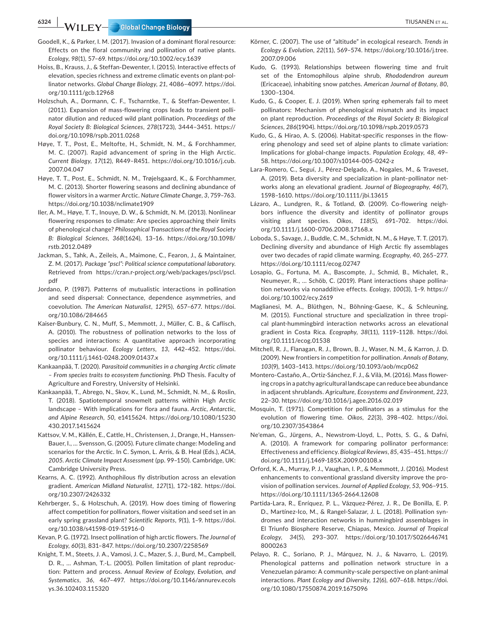**6324 |**  TIUSANEN et al.

- Goodell, K., & Parker, I. M. (2017). Invasion of a dominant floral resource: Effects on the floral community and pollination of native plants. *Ecology*, *98*(1), 57–69. <https://doi.org/10.1002/ecy.1639>
- Hoiss, B., Krauss, J., & Steffan-Dewenter, I. (2015). Interactive effects of elevation, species richness and extreme climatic events on plant-pollinator networks. *Global Change Biology*, *21*, 4086–4097. [https://doi.](https://doi.org/10.1111/gcb.12968) [org/10.1111/gcb.12968](https://doi.org/10.1111/gcb.12968)
- Holzschuh, A., Dormann, C. F., Tscharntke, T., & Steffan-Dewenter, I. (2011). Expansion of mass-flowering crops leads to transient pollinator dilution and reduced wild plant pollination. *Proceedings of the Royal Society B: Biological Sciences*, *278*(1723), 3444–3451. [https://](https://doi.org/10.1098/rspb.2011.0268) [doi.org/10.1098/rspb.2011.0268](https://doi.org/10.1098/rspb.2011.0268)
- Høye, T. T., Post, E., Meltofte, H., Schmidt, N. M., & Forchhammer, M. C. (2007). Rapid advancement of spring in the High Arctic. *Current Biology*, *17*(12), R449–R451. [https://doi.org/10.1016/j.cub.](https://doi.org/10.1016/j.cub.2007.04.047) [2007.04.047](https://doi.org/10.1016/j.cub.2007.04.047)
- Høye, T. T., Post, E., Schmidt, N. M., Trøjelsgaard, K., & Forchhammer, M. C. (2013). Shorter flowering seasons and declining abundance of flower visitors in a warmer Arctic. *Nature Climate Change*, *3*, 759–763. <https://doi.org/10.1038/nclimate1909>
- Iler, A. M., Høye, T. T., Inouye, D. W., & Schmidt, N. M. (2013). Nonlinear flowering responses to climate: Are species approaching their limits of phenological change? *Philosophical Transactions of the Royal Society B: Biological Sciences*, *368*(1624), 13–16. [https://doi.org/10.1098/](https://doi.org/10.1098/rstb.2012.0489) [rstb.2012.0489](https://doi.org/10.1098/rstb.2012.0489)
- Jackman, S., Tahk, A., Zeileis, A., Maimone, C., Fearon, J., & Maintainer, Z. M. (2017). *Package "pscl": Political science computational laboratory*. Retrieved from [https://cran.r-project.org/web/packages/pscl/pscl.](https://cran.r-project.org/web/packages/pscl/pscl.pdf) [pdf](https://cran.r-project.org/web/packages/pscl/pscl.pdf)
- Jordano, P. (1987). Patterns of mutualistic interactions in pollination and seed dispersal: Connectance, dependence asymmetries, and coevolution. *The American Naturalist*, *129*(5), 657–677. [https://doi.](https://doi.org/10.1086/284665) [org/10.1086/284665](https://doi.org/10.1086/284665)
- Kaiser-Bunbury, C. N., Muff, S., Memmott, J., Müller, C. B., & Caflisch, A. (2010). The robustness of pollination networks to the loss of species and interactions: A quantitative approach incorporating pollinator behaviour. *Ecology Letters*, *13*, 442–452. [https://doi.](https://doi.org/10.1111/j.1461-0248.2009.01437.x) [org/10.1111/j.1461-0248.2009.01437.x](https://doi.org/10.1111/j.1461-0248.2009.01437.x)
- Kankaanpää, T. (2020). *Parasitoid communities in a changing Arctic climate – From species traits to ecosystem functioning*. PhD Thesis. Faculty of Agriculture and Forestry, University of Helsinki.
- Kankaanpää, T., Abrego, N., Skov, K., Lund, M., Schmidt, N. M., & Roslin, T. (2018). Spatiotemporal snowmelt patterns within High Arctic landscape – With implications for flora and fauna. *Arctic, Antarctic, and Alpine Research*, *50*, e1415624. [https://doi.org/10.1080/15230](https://doi.org/10.1080/15230430.2017.1415624) [430.2017.1415624](https://doi.org/10.1080/15230430.2017.1415624)
- Kattsov, V. M., Källén, E., Cattle, H., Christensen, J., Drange, H., Hanssen-Bauer, I., … Svensson, G. (2005). Future climate change: Modeling and scenarios for the Arctic. In C. Symon, L. Arris, & B. Heal (Eds.), *ACIA, 2005. Arctic Climate Impact Assessment* (pp. 99–150). Cambridge, UK: Cambridge University Press.
- Kearns, A. C. (1992). Anthophilous fly distribution across an elevation gradient. *American Midland Naturalist*, *127*(1), 172–182. [https://doi.](https://doi.org/10.2307/2426332) [org/10.2307/2426332](https://doi.org/10.2307/2426332)
- Kehrberger, S., & Holzschuh, A. (2019). How does timing of flowering affect competition for pollinators, flower visitation and seed set in an early spring grassland plant? *Scientific Reports*, *9*(1), 1–9. [https://doi.](https://doi.org/10.1038/s41598-019-51916-0) [org/10.1038/s41598-019-51916-0](https://doi.org/10.1038/s41598-019-51916-0)
- Kevan, P. G. (1972). Insect pollination of high arctic flowers. *The Journal of Ecology*, *60*(3), 831–847. <https://doi.org/10.2307/2258569>
- Knight, T. M., Steets, J. A., Vamosi, J. C., Mazer, S. J., Burd, M., Campbell, D. R., … Ashman, T.-L. (2005). Pollen limitation of plant reproduction: Pattern and process. *Annual Review of Ecology, Evolution, and Systematics*, *36*, 467–497. [https://doi.org/10.1146/annurev.ecols](https://doi.org/10.1146/annurev.ecolsys.36.102403.115320) [ys.36.102403.115320](https://doi.org/10.1146/annurev.ecolsys.36.102403.115320)
- Körner, C. (2007). The use of "altitude" in ecological research. *Trends in Ecology & Evolution*, *22*(11), 569–574. [https://doi.org/10.1016/j.tree.](https://doi.org/10.1016/j.tree.2007.09.006) [2007.09.006](https://doi.org/10.1016/j.tree.2007.09.006)
- Kudo, G. (1993). Relationships between flowering time and fruit set of the Entomophilous alpine shrub, *Rhododendron aureum* (Ericaceae), inhabiting snow patches. *American Journal of Botany*, *80*, 1300–1304.
- Kudo, G., & Cooper, E. J. (2019). When spring ephemerals fail to meet pollinators: Mechanism of phenological mismatch and its impact on plant reproduction. *Proceedings of the Royal Society B: Biological Sciences*, *286*(1904). <https://doi.org/10.1098/rspb.2019.0573>
- Kudo, G., & Hirao, A. S. (2006). Habitat-specific responses in the flowering phenology and seed set of alpine plants to climate variation: Implications for global-change impacts. *Population Ecology*, *48*, 49– 58.<https://doi.org/10.1007/s10144-005-0242-z>
- Lara-Romero, C., Seguí, J., Pérez-Delgado, A., Nogales, M., & Traveset, A. (2019). Beta diversity and specialization in plant–pollinator networks along an elevational gradient. *Journal of Biogeography*, *46*(7), 1598–1610.<https://doi.org/10.1111/jbi.13615>
- Lázaro, A., Lundgren, R., & Totland, Ø. (2009). Co-flowering neighbors influence the diversity and identity of pollinator groups visiting plant species. *Oikos*, *118*(5), 691–702. [https://doi.](https://doi.org/10.1111/j.1600-0706.2008.17168.x) [org/10.1111/j.1600-0706.2008.17168.x](https://doi.org/10.1111/j.1600-0706.2008.17168.x)
- Loboda, S., Savage, J., Buddle, C. M., Schmidt, N. M., & Høye, T. T. (2017). Declining diversity and abundance of High Arctic fly assemblages over two decades of rapid climate warming. *Ecography*, *40*, 265–277. <https://doi.org/10.1111/ecog.02747>
- Losapio, G., Fortuna, M. A., Bascompte, J., Schmid, B., Michalet, R., Neumeyer, R., … Schöb, C. (2019). Plant interactions shape pollination networks via nonadditive effects. *Ecology*, *100*(3), 1–9. [https://](https://doi.org/10.1002/ecy.2619) [doi.org/10.1002/ecy.2619](https://doi.org/10.1002/ecy.2619)
- Maglianesi, M. A., Blüthgen, N., Böhning-Gaese, K., & Schleuning, M. (2015). Functional structure and specialization in three tropical plant-hummingbird interaction networks across an elevational gradient in Costa Rica. *Ecography*, *38*(11), 1119–1128. [https://doi.](https://doi.org/10.1111/ecog.01538) [org/10.1111/ecog.01538](https://doi.org/10.1111/ecog.01538)
- Mitchell, R. J., Flanagan, R. J., Brown, B. J., Waser, N. M., & Karron, J. D. (2009). New frontiers in competition for pollination. *Annals of Botany*, *103*(9), 1403–1413.<https://doi.org/10.1093/aob/mcp062>
- Montero-Castaño, A., Ortiz-Sánchez, F. J., & Vilà, M. (2016). Mass flowering crops in a patchy agricultural landscape can reduce bee abundance in adjacent shrublands. *Agriculture, Ecosystems and Environment*, *223*, 22–30. <https://doi.org/10.1016/j.agee.2016.02.019>
- Mosquin, T. (1971). Competition for pollinators as a stimulus for the evolution of flowering time. *Oikos*, *22*(3), 398–402. [https://doi.](https://doi.org/10.2307/3543864) [org/10.2307/3543864](https://doi.org/10.2307/3543864)
- Ne'eman, G., Jürgens, A., Newstrom-Lloyd, L., Potts, S. G., & Dafni, A. (2010). A framework for comparing pollinator performance: Effectiveness and efficiency. *Biological Reviews*, *85*, 435–451. [https://](https://doi.org/10.1111/j.1469-185X.2009.00108.x) [doi.org/10.1111/j.1469-185X.2009.00108.x](https://doi.org/10.1111/j.1469-185X.2009.00108.x)
- Orford, K. A., Murray, P. J., Vaughan, I. P., & Memmott, J. (2016). Modest enhancements to conventional grassland diversity improve the provision of pollination services. *Journal of Applied Ecology*, *53*, 906–915. <https://doi.org/10.1111/1365-2664.12608>
- Partida-Lara, R., Enríquez, P. L., Vázquez-Pérez, J. R., De Bonilla, E. P. D., Martínez-Ico, M., & Rangel-Salazar, J. L. (2018). Pollination syndromes and interaction networks in hummingbird assemblages in El Triunfo Biosphere Reserve, Chiapas, Mexico. *Journal of Tropical Ecology*, *34*(5), 293–307. [https://doi.org/10.1017/S026646741](https://doi.org/10.1017/S0266467418000263) [8000263](https://doi.org/10.1017/S0266467418000263)
- Pelayo, R. C., Soriano, P. J., Márquez, N. J., & Navarro, L. (2019). Phenological patterns and pollination network structure in a Venezuelan páramo: A community-scale perspective on plant-animal interactions. *Plant Ecology and Diversity*, *12*(6), 607–618. [https://doi.](https://doi.org/10.1080/17550874.2019.1675096) [org/10.1080/17550874.2019.1675096](https://doi.org/10.1080/17550874.2019.1675096)